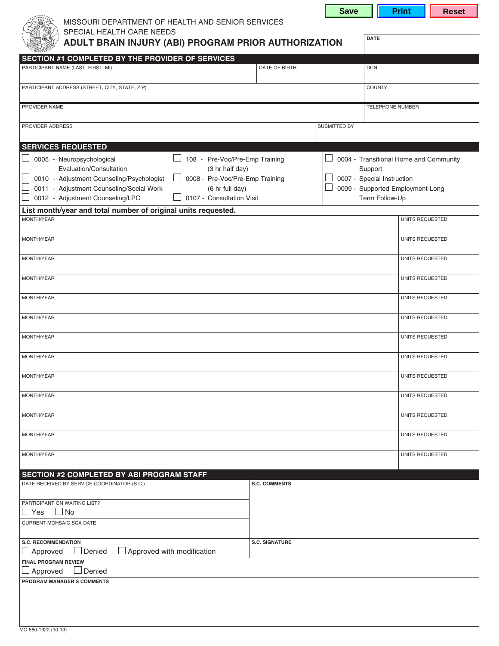| MISSOURI DEPARTMENT OF HEALTH AND SENIOR SERVICES                                                   |                             |              | .                          |                                        |
|-----------------------------------------------------------------------------------------------------|-----------------------------|--------------|----------------------------|----------------------------------------|
| SPECIAL HEALTH CARE NEEDS<br>ADULT BRAIN INJURY (ABI) PROGRAM PRIOR AUTHORIZATION                   |                             |              | <b>DATE</b>                |                                        |
| <b>SECTION #1 COMPLETED BY THE PROVIDER OF SERVICES</b>                                             |                             |              |                            |                                        |
| PARTICIPANT NAME (LAST, FIRST, MI)                                                                  | DATE OF BIRTH<br><b>DCN</b> |              |                            |                                        |
| PARTICIPANT ADDRESS (STREET, CITY, STATE, ZIP)                                                      |                             |              | <b>COUNTY</b>              |                                        |
| PROVIDER NAME                                                                                       |                             |              | TELEPHONE NUMBER           |                                        |
| PROVIDER ADDRESS                                                                                    |                             | SUBMITTED BY |                            |                                        |
| <b>SERVICES REQUESTED</b>                                                                           |                             |              |                            |                                        |
| 0005 - Neuropsychological<br>108 - Pre-Voc/Pre-Emp Training                                         |                             |              |                            | 0004 - Transitional Home and Community |
| Evaluation/Consultation<br>(3 hr half day)                                                          |                             |              | Support                    |                                        |
| 0010 - Adjustment Counseling/Psychologist<br>0008 - Pre-Voc/Pre-Emp Training                        |                             |              | 0007 - Special Instruction |                                        |
| 0011 - Adjustment Counseling/Social Work<br>(6 hr full day)                                         |                             |              |                            | 0009 - Supported Employment-Long       |
| 0012 - Adjustment Counseling/LPC<br>0107 - Consultation Visit                                       |                             |              | Term Follow-Up             |                                        |
| List month/year and total number of original units requested.                                       |                             |              |                            |                                        |
| MONTH/YEAR                                                                                          |                             |              |                            | UNITS REQUESTED                        |
| MONTH/YEAR                                                                                          |                             |              |                            | UNITS REQUESTED                        |
| MONTH/YEAR                                                                                          |                             |              |                            | UNITS REQUESTED                        |
| MONTH/YEAR                                                                                          |                             |              |                            | UNITS REQUESTED                        |
| MONTH/YEAR                                                                                          |                             |              |                            | UNITS REQUESTED                        |
| MONTH/YEAR                                                                                          |                             |              |                            | UNITS REQUESTED                        |
| MONTH/YEAR                                                                                          |                             |              |                            | UNITS REQUESTED                        |
| MONTH/YEAR                                                                                          |                             |              |                            | UNITS REQUESTED                        |
| MONTH/YEAR                                                                                          |                             |              |                            | UNITS REQUESTED                        |
| MONTH/YEAR                                                                                          |                             |              |                            | UNITS REQUESTED                        |
| MONTH/YEAR                                                                                          |                             |              |                            | UNITS REQUESTED                        |
| MONTH/YEAR                                                                                          |                             |              |                            | UNITS REQUESTED                        |
| MONTH/YEAR                                                                                          |                             |              |                            | UNITS REQUESTED                        |
| <b>SECTION #2 COMPLETED BY ABI PROGRAM STAFF</b>                                                    |                             |              |                            |                                        |
| DATE RECEIVED BY SERVICE COORDINATOR (S.C.)                                                         | <b>S.C. COMMENTS</b>        |              |                            |                                        |
| PARTICIPANT ON WAITING LIST?                                                                        |                             |              |                            |                                        |
| $\Box$ No<br>$\sqcup$ Yes                                                                           |                             |              |                            |                                        |
| <b>CURRENT MOHSAIC SCA DATE</b>                                                                     |                             |              |                            |                                        |
| <b>S.C. RECOMMENDATION</b><br>$\Box$ Approved with modification<br>$\Box$ Denied<br>$\Box$ Approved | <b>S.C. SIGNATURE</b>       |              |                            |                                        |
| <b>FINAL PROGRAM REVIEW</b><br>$\Box$ Approved<br>$\Box$ Denied                                     |                             |              |                            |                                        |
| PROGRAM MANAGER'S COMMENTS                                                                          |                             |              |                            |                                        |
|                                                                                                     |                             |              |                            |                                        |
|                                                                                                     |                             |              |                            |                                        |

**Save | Print | Reset**